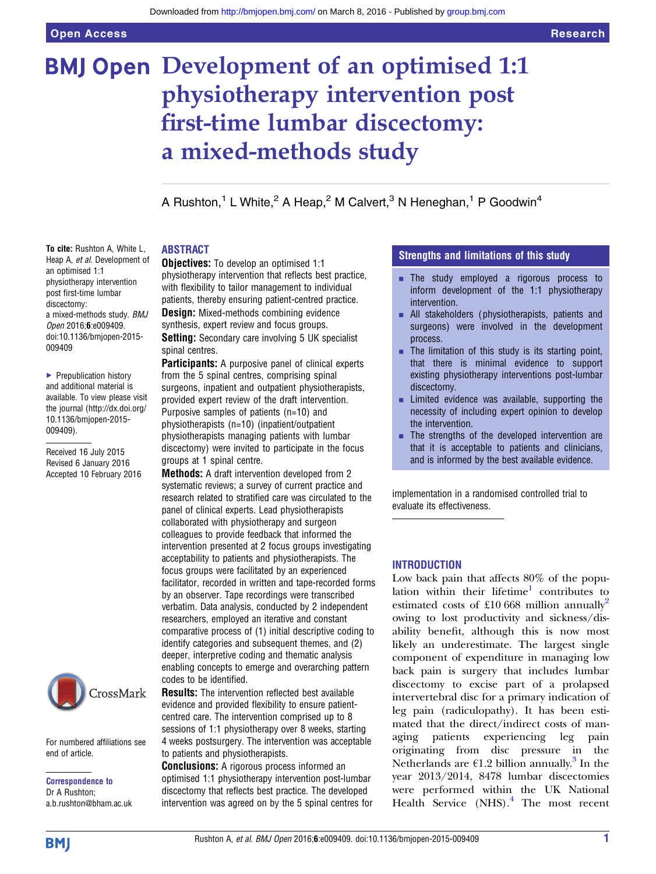# BMJ Open Development of an optimised 1:1 physiotherapy intervention post first-time lumbar discectomy: a mixed-methods study

A Rushton,<sup>1</sup> L White,<sup>2</sup> A Heap,<sup>2</sup> M Calvert,<sup>3</sup> N Heneghan,<sup>1</sup> P Goodwin<sup>4</sup>

#### To cite: Rushton A, White L, Heap A, et al. Development of an optimised 1:1 physiotherapy intervention post first-time lumbar discectomy: a mixed-methods study. BMJ Open 2016;6:e009409. doi:10.1136/bmjopen-2015- 009409

▶ Prepublication history and additional material is available. To view please visit the journal [\(http://dx.doi.org/](http://dx.doi.org/10.1136/bmjopen-2015-009409) [10.1136/bmjopen-2015-](http://dx.doi.org/10.1136/bmjopen-2015-009409) [009409\)](http://dx.doi.org/10.1136/bmjopen-2015-009409).

Received 16 July 2015 Revised 6 January 2016 Accepted 10 February 2016



For numbered affiliations see end of article.

Correspondence to Dr A Rushton; a.b.rushton@bham.ac.uk

#### ABSTRACT

**Objectives:** To develop an optimised 1:1 physiotherapy intervention that reflects best practice, with flexibility to tailor management to individual patients, thereby ensuring patient-centred practice.

**Design:** Mixed-methods combining evidence synthesis, expert review and focus groups. Setting: Secondary care involving 5 UK specialist spinal centres.

**Participants:** A purposive panel of clinical experts from the 5 spinal centres, comprising spinal surgeons, inpatient and outpatient physiotherapists, provided expert review of the draft intervention. Purposive samples of patients (n=10) and physiotherapists (n=10) (inpatient/outpatient physiotherapists managing patients with lumbar discectomy) were invited to participate in the focus groups at 1 spinal centre.

Methods: A draft intervention developed from 2 systematic reviews; a survey of current practice and research related to stratified care was circulated to the panel of clinical experts. Lead physiotherapists collaborated with physiotherapy and surgeon colleagues to provide feedback that informed the intervention presented at 2 focus groups investigating acceptability to patients and physiotherapists. The focus groups were facilitated by an experienced facilitator, recorded in written and tape-recorded forms by an observer. Tape recordings were transcribed verbatim. Data analysis, conducted by 2 independent researchers, employed an iterative and constant comparative process of (1) initial descriptive coding to identify categories and subsequent themes, and (2) deeper, interpretive coding and thematic analysis enabling concepts to emerge and overarching pattern codes to be identified.

**Results:** The intervention reflected best available evidence and provided flexibility to ensure patientcentred care. The intervention comprised up to 8 sessions of 1:1 physiotherapy over 8 weeks, starting 4 weeks postsurgery. The intervention was acceptable to patients and physiotherapists.

Conclusions: A rigorous process informed an optimised 1:1 physiotherapy intervention post-lumbar discectomy that reflects best practice. The developed intervention was agreed on by the 5 spinal centres for

### Strengths and limitations of this study

- **Exercise 1** The study employed a rigorous process to inform development of the 1:1 physiotherapy intervention.
- $\blacksquare$  All stakeholders (physiotherapists, patients and surgeons) were involved in the development process.
- $\blacksquare$  The limitation of this study is its starting point, that there is minimal evidence to support existing physiotherapy interventions post-lumbar discectomy.
- $\blacksquare$  Limited evidence was available, supporting the necessity of including expert opinion to develop the intervention.
- $\blacksquare$  The strengths of the developed intervention are that it is acceptable to patients and clinicians, and is informed by the best available evidence.

implementation in a randomised controlled trial to evaluate its effectiveness.

#### **INTRODUCTION**

Low back pain that affects 80% of the popu-lation within their lifetime<sup>[1](#page-5-0)</sup> contributes to estimated costs of £10.668 million annually<sup>[2](#page-5-0)</sup> owing to lost productivity and sickness/disability benefit, although this is now most likely an underestimate. The largest single component of expenditure in managing low back pain is surgery that includes lumbar discectomy to excise part of a prolapsed intervertebral disc for a primary indication of leg pain (radiculopathy). It has been estimated that the direct/indirect costs of managing patients experiencing leg pain originating from disc pressure in the Netherlands are  $\epsilon$ 1.2 billion annually.<sup>[3](#page-5-0)</sup> In the year 2013/2014, 8478 lumbar discectomies were performed within the UK National Health Service  $(NHS)$ .<sup>[4](#page-5-0)</sup> The most recent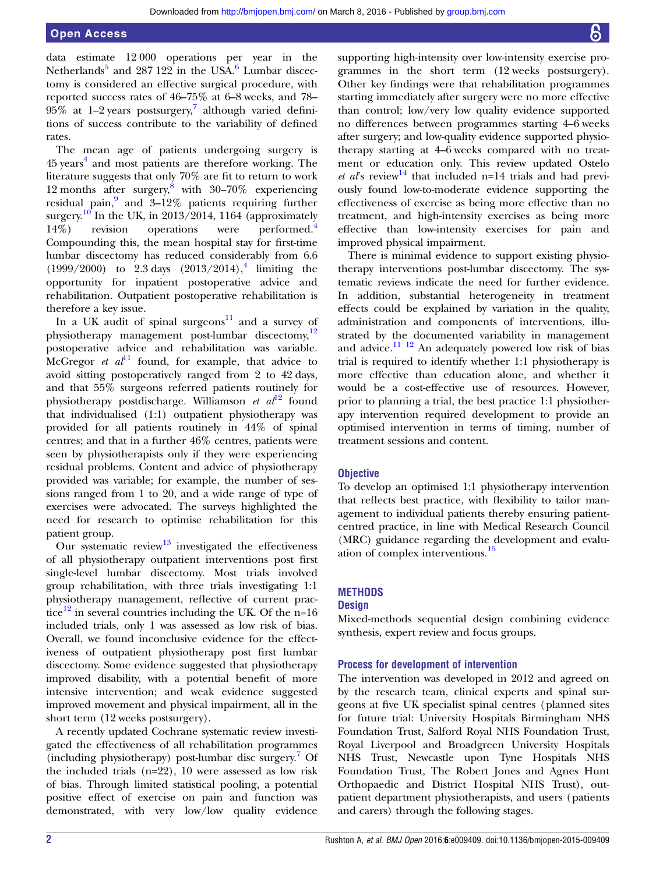data estimate 12 000 operations per year in the Netherlands<sup>[5](#page-5-0)</sup> and 287 122 in the USA.<sup>[6](#page-5-0)</sup> Lumbar discectomy is considered an effective surgical procedure, with reported success rates of 46–75% at 6–8 weeks, and 78– 95% at 1–2 years postsurgery,<sup>7</sup> although varied definitions of success contribute to the variability of defined rates.

The mean age of patients undergoing surgery is  $45$  $45$  years<sup>4</sup> and most patients are therefore working. The literature suggests that only 70% are fit to return to work 12 months after surgery,<sup>8</sup> with  $30-70\%$  experiencing residual pain, $\frac{9}{2}$  $\frac{9}{2}$  $\frac{9}{2}$  and  $3-12\%$  patients requiring further surgery.<sup>[10](#page-5-0)</sup> In the UK, in 2013/2014, 1164 (approximately 14%) revision operations were performed.[4](#page-5-0) Compounding this, the mean hospital stay for first-time lumbar discectomy has reduced considerably from 6.6  $(1999/2000)$  to 2.3 days  $(2013/2014),<sup>4</sup>$  $(2013/2014),<sup>4</sup>$  $(2013/2014),<sup>4</sup>$  limiting the opportunity for inpatient postoperative advice and rehabilitation. Outpatient postoperative rehabilitation is therefore a key issue.

In a UK audit of spinal surgeons $11$  and a survey of physiotherapy management post-lumbar discectomy,<sup>[12](#page-5-0)</sup> postoperative advice and rehabilitation was variable. McGregor *et al*<sup>[11](#page-5-0)</sup> found, for example, that advice to avoid sitting postoperatively ranged from 2 to 42 days, and that 55% surgeons referred patients routinely for physiotherapy postdischarge. Williamson et  $al^{12}$  $al^{12}$  $al^{12}$  found that individualised (1:1) outpatient physiotherapy was provided for all patients routinely in 44% of spinal centres; and that in a further 46% centres, patients were seen by physiotherapists only if they were experiencing residual problems. Content and advice of physiotherapy provided was variable; for example, the number of sessions ranged from 1 to 20, and a wide range of type of exercises were advocated. The surveys highlighted the need for research to optimise rehabilitation for this patient group.

Our systematic review<sup>[13](#page-5-0)</sup> investigated the effectiveness of all physiotherapy outpatient interventions post first single-level lumbar discectomy. Most trials involved group rehabilitation, with three trials investigating 1:1 physiotherapy management, reflective of current prac-tice<sup>[12](#page-5-0)</sup> in several countries including the UK. Of the n=16 included trials, only 1 was assessed as low risk of bias. Overall, we found inconclusive evidence for the effectiveness of outpatient physiotherapy post first lumbar discectomy. Some evidence suggested that physiotherapy improved disability, with a potential benefit of more intensive intervention; and weak evidence suggested improved movement and physical impairment, all in the short term (12 weeks postsurgery).

A recently updated Cochrane systematic review investigated the effectiveness of all rehabilitation programmes (including physiotherapy) post-lumbar disc surgery.<sup>7</sup> Of the included trials (n=22), 10 were assessed as low risk of bias. Through limited statistical pooling, a potential positive effect of exercise on pain and function was demonstrated, with very low/low quality evidence

supporting high-intensity over low-intensity exercise programmes in the short term (12 weeks postsurgery). Other key findings were that rehabilitation programmes starting immediately after surgery were no more effective than control; low/very low quality evidence supported no differences between programmes starting 4–6 weeks after surgery; and low-quality evidence supported physiotherapy starting at 4–6 weeks compared with no treatment or education only. This review updated Ostelo et als review<sup>[14](#page-5-0)</sup> that included n=14 trials and had previously found low-to-moderate evidence supporting the effectiveness of exercise as being more effective than no treatment, and high-intensity exercises as being more effective than low-intensity exercises for pain and improved physical impairment.

There is minimal evidence to support existing physiotherapy interventions post-lumbar discectomy. The systematic reviews indicate the need for further evidence. In addition, substantial heterogeneity in treatment effects could be explained by variation in the quality, administration and components of interventions, illustrated by the documented variability in management and advice. $11^{11}$   $2$  An adequately powered low risk of bias trial is required to identify whether 1:1 physiotherapy is more effective than education alone, and whether it would be a cost-effective use of resources. However, prior to planning a trial, the best practice 1:1 physiotherapy intervention required development to provide an optimised intervention in terms of timing, number of treatment sessions and content.

#### **Objective**

To develop an optimised 1:1 physiotherapy intervention that reflects best practice, with flexibility to tailor management to individual patients thereby ensuring patientcentred practice, in line with Medical Research Council (MRC) guidance regarding the development and evaluation of complex interventions.[15](#page-5-0)

#### **METHODS**

#### **Design**

Mixed-methods sequential design combining evidence synthesis, expert review and focus groups.

#### Process for development of intervention

The intervention was developed in 2012 and agreed on by the research team, clinical experts and spinal surgeons at five UK specialist spinal centres (planned sites for future trial: University Hospitals Birmingham NHS Foundation Trust, Salford Royal NHS Foundation Trust, Royal Liverpool and Broadgreen University Hospitals NHS Trust, Newcastle upon Tyne Hospitals NHS Foundation Trust, The Robert Jones and Agnes Hunt Orthopaedic and District Hospital NHS Trust), outpatient department physiotherapists, and users (patients and carers) through the following stages.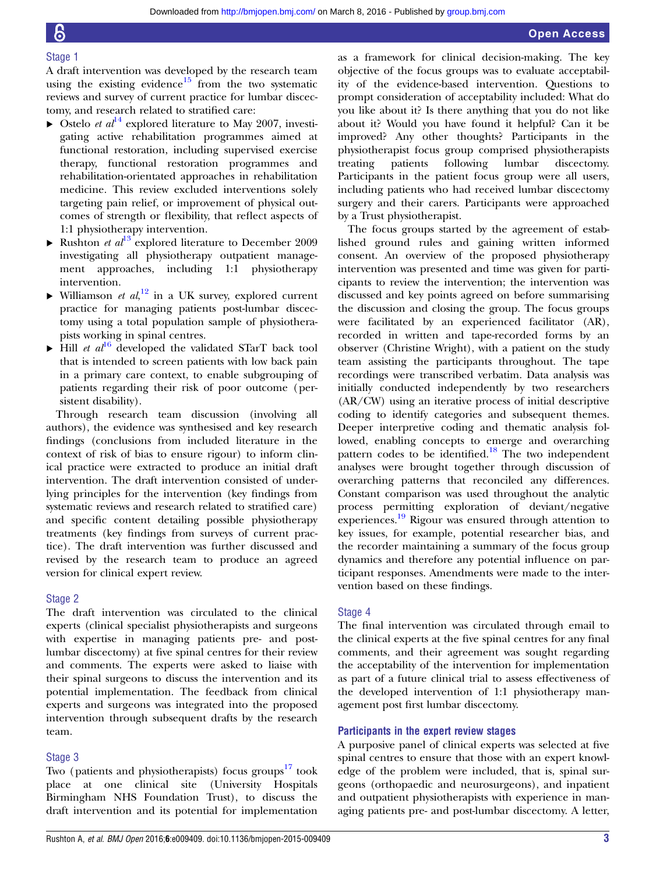#### Stage 1

A draft intervention was developed by the research team using the existing evidence<sup>[15](#page-5-0)</sup> from the two systematic reviews and survey of current practice for lumbar discectomy, and research related to stratified care:

- $\triangleright$  Ostelo *et al*<sup>[14](#page-5-0)</sup> explored literature to May 2007, investigating active rehabilitation programmes aimed at functional restoration, including supervised exercise therapy, functional restoration programmes and rehabilitation-orientated approaches in rehabilitation medicine. This review excluded interventions solely targeting pain relief, or improvement of physical outcomes of strength or flexibility, that reflect aspects of 1:1 physiotherapy intervention.
- $\blacktriangleright$  Rushton *et al*<sup>[13](#page-5-0)</sup> explored literature to December 2009 investigating all physiotherapy outpatient management approaches, including 1:1 physiotherapy intervention.
- $\blacktriangleright$  Williamson *et al*,<sup>[12](#page-5-0)</sup> in a UK survey, explored current practice for managing patients post-lumbar discectomy using a total population sample of physiotherapists working in spinal centres.
- $\blacktriangleright$  Hill *et al*<sup>[16](#page-5-0)</sup> developed the validated STarT back tool that is intended to screen patients with low back pain in a primary care context, to enable subgrouping of patients regarding their risk of poor outcome (persistent disability).

Through research team discussion (involving all authors), the evidence was synthesised and key research findings (conclusions from included literature in the context of risk of bias to ensure rigour) to inform clinical practice were extracted to produce an initial draft intervention. The draft intervention consisted of underlying principles for the intervention (key findings from systematic reviews and research related to stratified care) and specific content detailing possible physiotherapy treatments (key findings from surveys of current practice). The draft intervention was further discussed and revised by the research team to produce an agreed version for clinical expert review.

#### Stage 2

The draft intervention was circulated to the clinical experts (clinical specialist physiotherapists and surgeons with expertise in managing patients pre- and postlumbar discectomy) at five spinal centres for their review and comments. The experts were asked to liaise with their spinal surgeons to discuss the intervention and its potential implementation. The feedback from clinical experts and surgeons was integrated into the proposed intervention through subsequent drafts by the research team.

#### Stage 3

Two (patients and physiotherapists) focus groups $17$  took place at one clinical site (University Hospitals Birmingham NHS Foundation Trust), to discuss the draft intervention and its potential for implementation as a framework for clinical decision-making. The key objective of the focus groups was to evaluate acceptability of the evidence-based intervention. Questions to prompt consideration of acceptability included: What do you like about it? Is there anything that you do not like about it? Would you have found it helpful? Can it be improved? Any other thoughts? Participants in the physiotherapist focus group comprised physiotherapists treating patients following lumbar discectomy. Participants in the patient focus group were all users, including patients who had received lumbar discectomy surgery and their carers. Participants were approached by a Trust physiotherapist.

The focus groups started by the agreement of established ground rules and gaining written informed consent. An overview of the proposed physiotherapy intervention was presented and time was given for participants to review the intervention; the intervention was discussed and key points agreed on before summarising the discussion and closing the group. The focus groups were facilitated by an experienced facilitator (AR), recorded in written and tape-recorded forms by an observer (Christine Wright), with a patient on the study team assisting the participants throughout. The tape recordings were transcribed verbatim. Data analysis was initially conducted independently by two researchers (AR/CW) using an iterative process of initial descriptive coding to identify categories and subsequent themes. Deeper interpretive coding and thematic analysis followed, enabling concepts to emerge and overarching pattern codes to be identified.<sup>[18](#page-5-0)</sup> The two independent analyses were brought together through discussion of overarching patterns that reconciled any differences. Constant comparison was used throughout the analytic process permitting exploration of deviant/negative experiences.<sup>[19](#page-5-0)</sup> Rigour was ensured through attention to key issues, for example, potential researcher bias, and the recorder maintaining a summary of the focus group dynamics and therefore any potential influence on participant responses. Amendments were made to the intervention based on these findings.

#### Stage 4

The final intervention was circulated through email to the clinical experts at the five spinal centres for any final comments, and their agreement was sought regarding the acceptability of the intervention for implementation as part of a future clinical trial to assess effectiveness of the developed intervention of 1:1 physiotherapy management post first lumbar discectomy.

#### Participants in the expert review stages

A purposive panel of clinical experts was selected at five spinal centres to ensure that those with an expert knowledge of the problem were included, that is, spinal surgeons (orthopaedic and neurosurgeons), and inpatient and outpatient physiotherapists with experience in managing patients pre- and post-lumbar discectomy. A letter,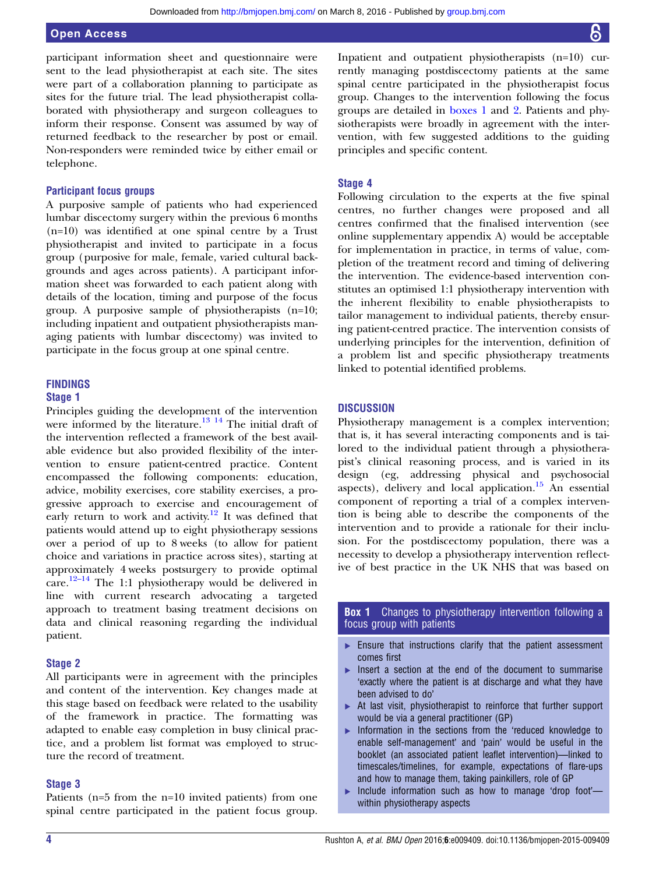<span id="page-3-0"></span>participant information sheet and questionnaire were sent to the lead physiotherapist at each site. The sites were part of a collaboration planning to participate as sites for the future trial. The lead physiotherapist collaborated with physiotherapy and surgeon colleagues to inform their response. Consent was assumed by way of returned feedback to the researcher by post or email. Non-responders were reminded twice by either email or telephone.

#### Participant focus groups

A purposive sample of patients who had experienced lumbar discectomy surgery within the previous 6 months (n=10) was identified at one spinal centre by a Trust physiotherapist and invited to participate in a focus group (purposive for male, female, varied cultural backgrounds and ages across patients). A participant information sheet was forwarded to each patient along with details of the location, timing and purpose of the focus group. A purposive sample of physiotherapists (n=10; including inpatient and outpatient physiotherapists managing patients with lumbar discectomy) was invited to participate in the focus group at one spinal centre.

#### FINDINGS

#### Stage 1

Principles guiding the development of the intervention were informed by the literature.<sup>[13 14](#page-5-0)</sup> The initial draft of the intervention reflected a framework of the best available evidence but also provided flexibility of the intervention to ensure patient-centred practice. Content encompassed the following components: education, advice, mobility exercises, core stability exercises, a progressive approach to exercise and encouragement of early return to work and activity.<sup>12</sup> It was defined that patients would attend up to eight physiotherapy sessions over a period of up to 8 weeks (to allow for patient choice and variations in practice across sites), starting at approximately 4 weeks postsurgery to provide optimal care. $12-14$  $12-14$  The 1:1 physiotherapy would be delivered in line with current research advocating a targeted approach to treatment basing treatment decisions on data and clinical reasoning regarding the individual patient.

#### Stage 2

All participants were in agreement with the principles and content of the intervention. Key changes made at this stage based on feedback were related to the usability of the framework in practice. The formatting was adapted to enable easy completion in busy clinical practice, and a problem list format was employed to structure the record of treatment.

#### Stage 3

Patients (n=5 from the n=10 invited patients) from one spinal centre participated in the patient focus group.

Inpatient and outpatient physiotherapists (n=10) currently managing postdiscectomy patients at the same spinal centre participated in the physiotherapist focus group. Changes to the intervention following the focus groups are detailed in boxes 1 and [2](#page-4-0). Patients and physiotherapists were broadly in agreement with the intervention, with few suggested additions to the guiding principles and specific content.

#### Stage 4

Following circulation to the experts at the five spinal centres, no further changes were proposed and all centres confirmed that the finalised intervention (see online supplementary appendix A) would be acceptable for implementation in practice, in terms of value, completion of the treatment record and timing of delivering the intervention. The evidence-based intervention constitutes an optimised 1:1 physiotherapy intervention with the inherent flexibility to enable physiotherapists to tailor management to individual patients, thereby ensuring patient-centred practice. The intervention consists of underlying principles for the intervention, definition of a problem list and specific physiotherapy treatments linked to potential identified problems.

#### **DISCUSSION**

Physiotherapy management is a complex intervention; that is, it has several interacting components and is tailored to the individual patient through a physiotherapist's clinical reasoning process, and is varied in its design (eg, addressing physical and psychosocial aspects), delivery and local application. $15$  An essential component of reporting a trial of a complex intervention is being able to describe the components of the intervention and to provide a rationale for their inclusion. For the postdiscectomy population, there was a necessity to develop a physiotherapy intervention reflective of best practice in the UK NHS that was based on

#### **Box 1** Changes to physiotherapy intervention following a focus group with patients

- ▸ Ensure that instructions clarify that the patient assessment comes first
- ▸ Insert a section at the end of the document to summarise 'exactly where the patient is at discharge and what they have been advised to do'
- ▸ At last visit, physiotherapist to reinforce that further support would be via a general practitioner (GP)
- ▸ Information in the sections from the 'reduced knowledge to enable self-management' and 'pain' would be useful in the booklet (an associated patient leaflet intervention)—linked to timescales/timelines, for example, expectations of flare-ups and how to manage them, taking painkillers, role of GP
- ▸ Include information such as how to manage 'drop foot' within physiotherapy aspects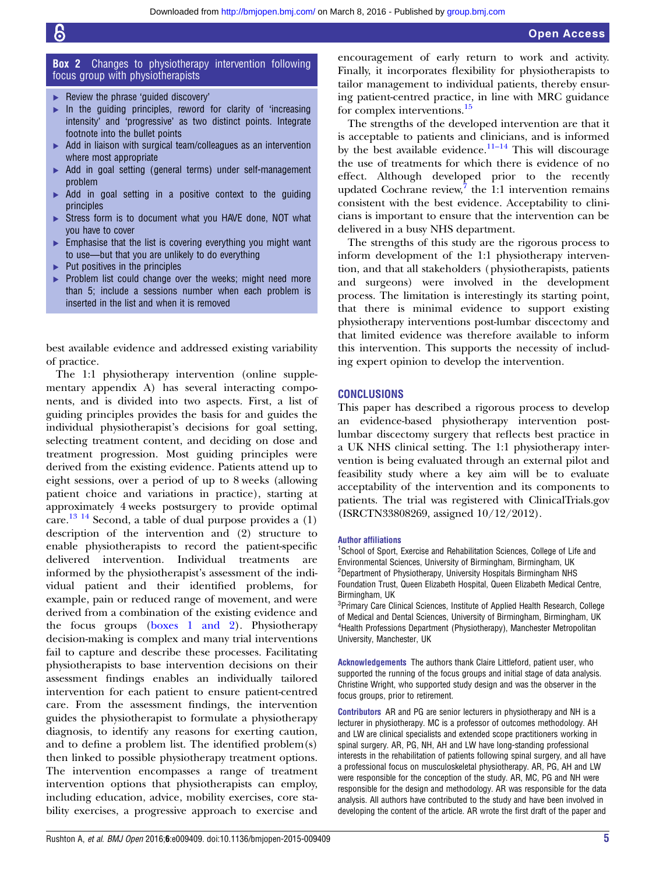#### <span id="page-4-0"></span>**Box 2** Changes to physiotherapy intervention following focus group with physiotherapists

- ▸ Review the phrase 'guided discovery'
- In the guiding principles, reword for clarity of 'increasing intensity' and 'progressive' as two distinct points. Integrate footnote into the bullet points
- ▶ Add in liaison with surgical team/colleagues as an intervention where most appropriate
- ▸ Add in goal setting (general terms) under self-management problem
- $\triangleright$  Add in goal setting in a positive context to the guiding principles
- ▶ Stress form is to document what you HAVE done, NOT what you have to cover
- ▸ Emphasise that the list is covering everything you might want to use—but that you are unlikely to do everything
- $\blacktriangleright$  Put positives in the principles
- Problem list could change over the weeks; might need more than 5; include a sessions number when each problem is inserted in the list and when it is removed

best available evidence and addressed existing variability of practice.

The 1:1 physiotherapy intervention (online supplementary appendix A) has several interacting components, and is divided into two aspects. First, a list of guiding principles provides the basis for and guides the individual physiotherapist's decisions for goal setting, selecting treatment content, and deciding on dose and treatment progression. Most guiding principles were derived from the existing evidence. Patients attend up to eight sessions, over a period of up to 8 weeks (allowing patient choice and variations in practice), starting at approximately 4 weeks postsurgery to provide optimal care.<sup>[13 14](#page-5-0)</sup> Second, a table of dual purpose provides a  $(1)$ description of the intervention and (2) structure to enable physiotherapists to record the patient-specific delivered intervention. Individual treatments are informed by the physiotherapist's assessment of the individual patient and their identified problems, for example, pain or reduced range of movement, and were derived from a combination of the existing evidence and the focus groups [\(boxes 1 and 2](#page-3-0)). Physiotherapy decision-making is complex and many trial interventions fail to capture and describe these processes. Facilitating physiotherapists to base intervention decisions on their assessment findings enables an individually tailored intervention for each patient to ensure patient-centred care. From the assessment findings, the intervention guides the physiotherapist to formulate a physiotherapy diagnosis, to identify any reasons for exerting caution, and to define a problem list. The identified problem(s) then linked to possible physiotherapy treatment options. The intervention encompasses a range of treatment intervention options that physiotherapists can employ, including education, advice, mobility exercises, core stability exercises, a progressive approach to exercise and

encouragement of early return to work and activity. Finally, it incorporates flexibility for physiotherapists to tailor management to individual patients, thereby ensuring patient-centred practice, in line with MRC guidance for complex interventions.[15](#page-5-0)

The strengths of the developed intervention are that it is acceptable to patients and clinicians, and is informed by the best available evidence.<sup>[11](#page-5-0)–14</sup> This will discourage the use of treatments for which there is evidence of no effect. Although developed prior to the recently updated Cochrane review, $7$  the 1:1 intervention remains consistent with the best evidence. Acceptability to clinicians is important to ensure that the intervention can be delivered in a busy NHS department.

The strengths of this study are the rigorous process to inform development of the 1:1 physiotherapy intervention, and that all stakeholders (physiotherapists, patients and surgeons) were involved in the development process. The limitation is interestingly its starting point, that there is minimal evidence to support existing physiotherapy interventions post-lumbar discectomy and that limited evidence was therefore available to inform this intervention. This supports the necessity of including expert opinion to develop the intervention.

#### **CONCLUSIONS**

This paper has described a rigorous process to develop an evidence-based physiotherapy intervention postlumbar discectomy surgery that reflects best practice in a UK NHS clinical setting. The 1:1 physiotherapy intervention is being evaluated through an external pilot and feasibility study where a key aim will be to evaluate acceptability of the intervention and its components to patients. The trial was registered with ClinicalTrials.gov (ISRCTN33808269, assigned 10/12/2012).

#### Author affiliations

<sup>1</sup>School of Sport, Exercise and Rehabilitation Sciences, College of Life and Environmental Sciences, University of Birmingham, Birmingham, UK <sup>2</sup>Department of Physiotherapy, University Hospitals Birmingham NHS Foundation Trust, Queen Elizabeth Hospital, Queen Elizabeth Medical Centre, Birmingham, UK

<sup>3</sup>Primary Care Clinical Sciences, Institute of Applied Health Research, College of Medical and Dental Sciences, University of Birmingham, Birmingham, UK 4 Health Professions Department (Physiotherapy), Manchester Metropolitan University, Manchester, UK

Acknowledgements The authors thank Claire Littleford, patient user, who supported the running of the focus groups and initial stage of data analysis. Christine Wright, who supported study design and was the observer in the focus groups, prior to retirement.

Contributors AR and PG are senior lecturers in physiotherapy and NH is a lecturer in physiotherapy. MC is a professor of outcomes methodology. AH and LW are clinical specialists and extended scope practitioners working in spinal surgery. AR, PG, NH, AH and LW have long-standing professional interests in the rehabilitation of patients following spinal surgery, and all have a professional focus on musculoskeletal physiotherapy. AR, PG, AH and LW were responsible for the conception of the study. AR, MC, PG and NH were responsible for the design and methodology. AR was responsible for the data analysis. All authors have contributed to the study and have been involved in developing the content of the article. AR wrote the first draft of the paper and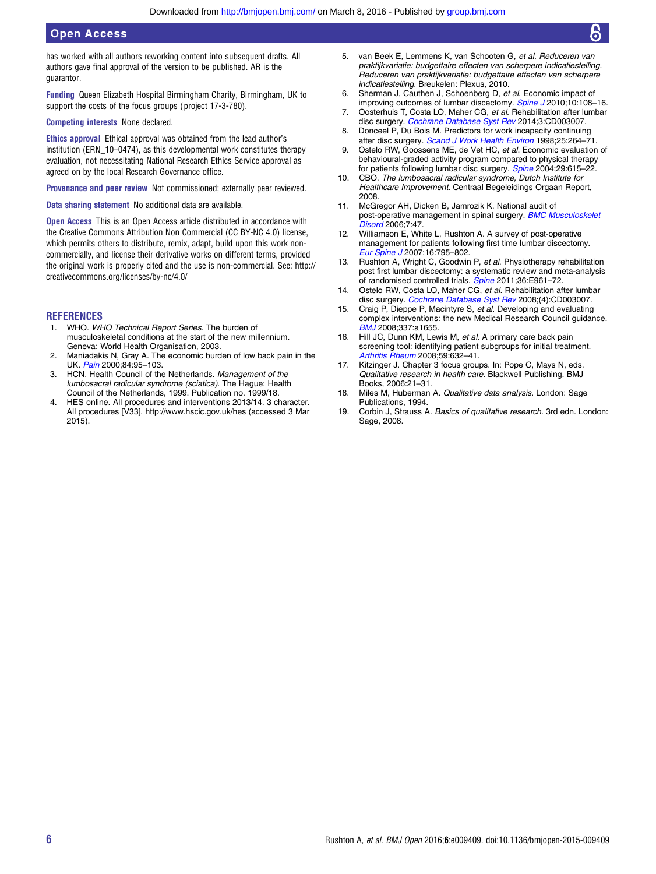<span id="page-5-0"></span>has worked with all authors reworking content into subsequent drafts. All authors gave final approval of the version to be published. AR is the guarantor.

Funding Queen Elizabeth Hospital Birmingham Charity, Birmingham, UK to support the costs of the focus groups ( project 17-3-780).

Competing interests None declared.

Ethics approval Ethical approval was obtained from the lead author's institution (ERN\_10–0474), as this developmental work constitutes therapy evaluation, not necessitating National Research Ethics Service approval as agreed on by the local Research Governance office.

Provenance and peer review Not commissioned; externally peer reviewed.

Data sharing statement No additional data are available.

Open Access This is an Open Access article distributed in accordance with the Creative Commons Attribution Non Commercial (CC BY-NC 4.0) license, which permits others to distribute, remix, adapt, build upon this work noncommercially, and license their derivative works on different terms, provided the original work is properly cited and the use is non-commercial. See: [http://](http://creativecommons.org/licenses/by-nc/4.0/) [creativecommons.org/licenses/by-nc/4.0/](http://creativecommons.org/licenses/by-nc/4.0/)

#### **REFERENCES**

- 1. WHO. WHO Technical Report Series. The burden of musculoskeletal conditions at the start of the new millennium. Geneva: World Health Organisation, 2003.
- 2. Maniadakis N, Gray A. The economic burden of low back pain in the UK. [Pain](http://dx.doi.org/10.1016/S0304-3959(99)00187-6) 2000;84:95-103.
- 3. HCN. Health Council of the Netherlands. Management of the lumbosacral radicular syndrome (sciatica). The Hague: Health Council of the Netherlands, 1999. Publication no. 1999/18.
- 4. HES online. All procedures and interventions 2013/14. 3 character. All procedures [V33].<http://www.hscic.gov.uk/hes> (accessed 3 Mar 2015).
- 5. van Beek E, Lemmens K, van Schooten G, et al. Reduceren van praktijkvariatie: budgettaire effecten van scherpere indicatiestelling. Reduceren van praktijkvariatie: budgettaire effecten van scherpere indicatiestelling. Breukelen: Plexus, 2010.
- 6. Sherman J, Cauthen J, Schoenberg D, et al. Economic impact of improving outcomes of lumbar discectomy. [Spine J](http://dx.doi.org/10.1016/j.spinee.2009.08.453) 2010;10:108–16.
- 7. Oosterhuis T, Costa LO, Maher CG, et al. Rehabilitation after lumbar disc surgery. [Cochrane Database Syst Rev](http://dx.doi.org/10.1002/14651858.CD003007.pub3) 2014;3:CD003007.
- 8. Donceel P, Du Bois M. Predictors for work incapacity continuing after disc surgery. [Scand J Work Health Environ](http://dx.doi.org/10.5271/sjweh.433) 1998;25:264–71.
- 9. Ostelo RW, Goossens ME, de Vet HC, et al. Economic evaluation of behavioural-graded activity program compared to physical therapy for patients following lumbar disc surgery. [Spine](http://dx.doi.org/10.1097/01.BRS.0000115130.42394.0B) 2004;29:615-22.
- 10. CBO. The lumbosacral radicular syndrome, Dutch Institute for Healthcare Improvement. Centraal Begeleidings Orgaan Report, 2008.
- 11. McGregor AH, Dicken B, Jamrozik K. National audit of post-operative management in spinal surgery. **[BMC Musculoskelet](http://dx.doi.org/10.1186/1471-2474-7-47)** [Disord](http://dx.doi.org/10.1186/1471-2474-7-47) 2006;7:47.
- 12. Williamson E, White L, Rushton A. A survey of post-operative management for patients following first time lumbar discectomy. [Eur Spine J](http://dx.doi.org/10.1007/s00586-006-0207-8) 2007;16:795–802.
- 13. Rushton A, Wright C, Goodwin P, et al. Physiotherapy rehabilitation post first lumbar discectomy: a systematic review and meta-analysis of randomised controlled trials. [Spine](http://dx.doi.org/10.1097/BRS.0b013e3181f0e8f8) 2011;36:E961-72.
- 14. Ostelo RW, Costa LO, Maher CG, et al. Rehabilitation after lumbar disc surgery. [Cochrane Database Syst Rev](http://dx.doi.org/10.1002/14651858.CD003007.pub2) 2008;(4):CD003007.
- 15. Craig P, Dieppe P, Macintyre S, et al. Developing and evaluating complex interventions: the new Medical Research Council guidance. [BMJ](http://dx.doi.org/10.1136/bmj.a1655) 2008;337:a1655.
- 16. Hill JC, Dunn KM, Lewis M, et al. A primary care back pain screening tool: identifying patient subgroups for initial treatment. [Arthritis Rheum](http://dx.doi.org/10.1002/art.23563) 2008;59:632–41.
- 17. Kitzinger J. Chapter 3 focus groups. In: Pope C, Mays N, eds. Qualitative research in health care. Blackwell Publishing. BMJ Books, 2006:21–31.
- 18. Miles M, Huberman A. Qualitative data analysis. London: Sage Publications, 1994.
- 19. Corbin J, Strauss A. Basics of qualitative research. 3rd edn. London: Sage, 2008.